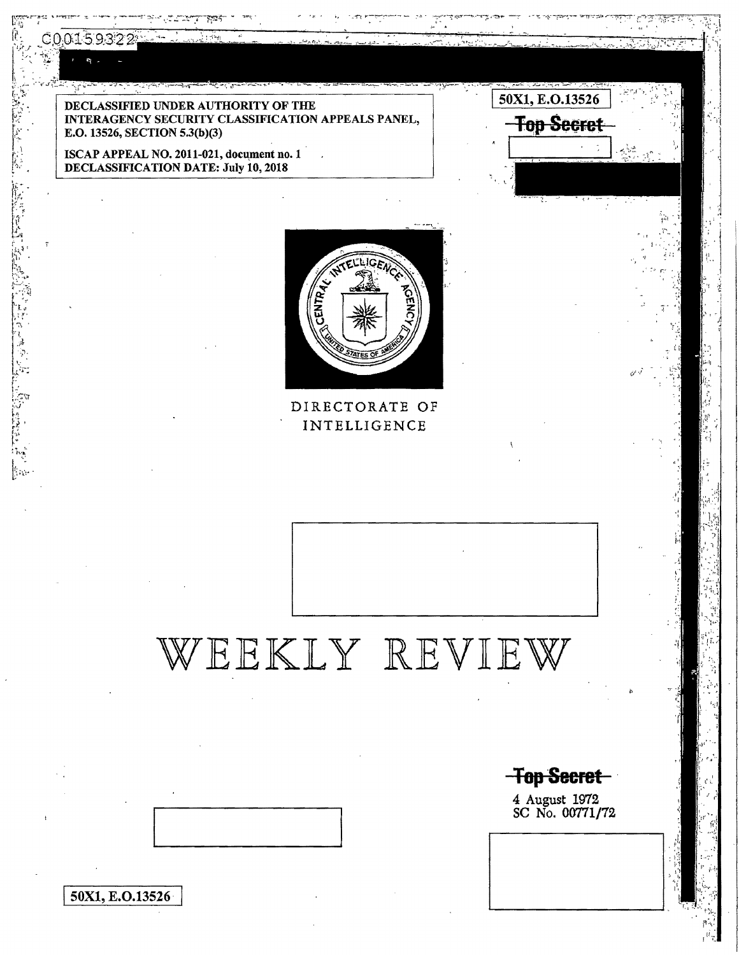C0015

∦ae

50X1, E.O.13526

DECLASSIFIED UNDER AUTHORITY OF THE INTERAGENCY SECURITY CLASSIFICATION APPEALS PANEL, E.0.13526, SECTION 5.3(b)(3)

ISCAP APPEAL NO. 2011-021, document no. 1 DECLASSIFICATION DATE: July 10, 2018



DIRECTORATE OF INTELLIGENCE

## WEEKLY REVIEW

**Top Secret** 

50X1, E.O.13526

**Top Secret** 

4 August 1972 SC No. 00771/72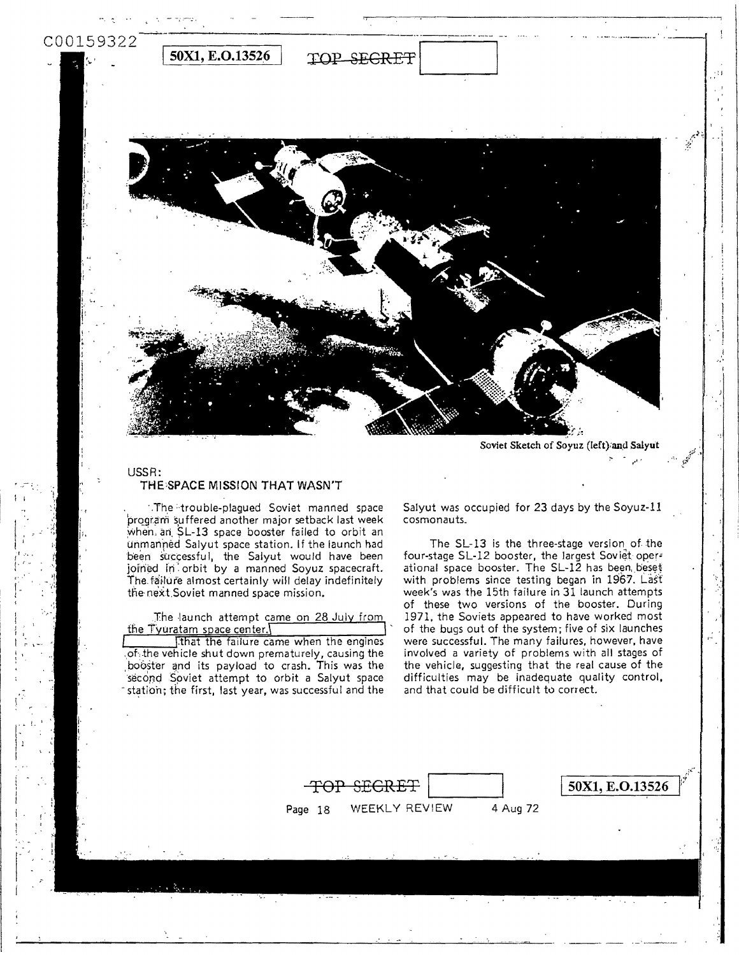

Soviet Sketch of Soyuz (left) and Salyut

## USSR: THE SPACE MISSION THAT WASN'T

The trouble-plagued Soviet manned space program suffered another major setback last week when, an SL-13 space booster failed to orbit an unmanned Salyut space station. If the launch had been successful, the Salyut would have been joined in orbit by a manned Soyuz spacecraft. The failure almost certainly will delay indefinitely the next Soviet manned space mission.

The launch attempt came on 28 July from the Tyuratam space center. I that the failure came when the engines of the vehicle shut down prematurely, causing the booster and its payload to crash. This was the second Soviet attempt to orbit a Salyut space

station; the first, last year, was successful and the

Salyut was occupied for 23 days by the Soyuz-11 cosmonauts.

The SL-13 is the three-stage version of the four-stage SL-12 booster, the largest Soviet operational space booster. The SL-12 has been beset with problems since testing began in 1967. Last week's was the 15th failure in 31 launch attempts of these two versions of the booster. During 1971, the Soviets appeared to have worked most of the bugs out of the system; five of six launches were successful. The many failures, however, have involved a variety of problems with all stages of the vehicle, suggesting that the real cause of the difficulties may be inadequate quality control, and that could be difficult to correct.

|         | TOP SEGRET    |          | $\vert$ 50X1, E.O.13526 |
|---------|---------------|----------|-------------------------|
| Page 18 | WEEKLY REVIEW | 4 Aug 72 |                         |